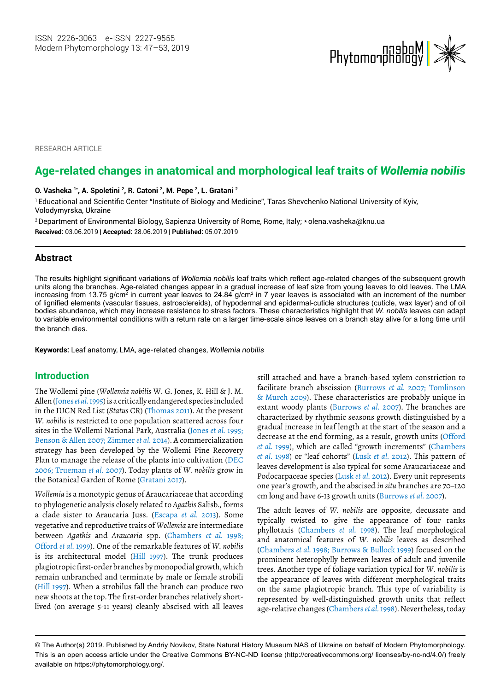

RESEARCH ARTICLE

# **Age-related changes in anatomical and morphological leaf traits of** *Wollemia nobilis*

**O. Vasheka 1\*, A. Spoletini 2, R. Catoni 2 , M. Pepe 2 , L. Gratani 2**

<sup>1</sup> Educational and Scientific Center "Institute of Biology and Medicine", Taras Shevchenko National University of Kyiv, Volodymyrska, Ukraine

<sup>2</sup>Department of Environmental Biology, Sapienza University of Rome, Rome, Italy; \* olena.vasheka@knu.ua **Received:** 03.06.2019 | **Accepted:** 28.06.2019 | **Published:** 05.07.2019

## **Abstract**

The results highlight significant variations of *Wollemia nobilis* leaf traits which reflect age-related changes of the subsequent growth units along the branches. Age-related changes appear in a gradual increase of leaf size from young leaves to old leaves. The LMA increasing from 13.75 g/cm<sup>2</sup> in current year leaves to 24.84 g/cm<sup>2</sup> in 7 year leaves is associated with an increment of the number of lignified elements (vascular tissues, astrosclereids), of hypodermal and epidermal-cuticle structures (cuticle, wax layer) and of oil bodies abundance, which may increase resistance to stress factors. These characteristics highlight that *W. nobilis* leaves can adapt to variable environmental conditions with a return rate on a larger time-scale since leaves on a branch stay alive for a long time until the branch dies.

**Keywords:** Leaf anatomy, LMA, age-related changes, *Wollemia nobilis*

## **Introduction**

The Wollemi pine (*Wollemia nobilis* W. G. Jones, K. Hill & J. M. Allen (Jones *et al.* 1995) is a critically endangered species included in the IUCN Red List (*Status* CR) (Thomas 2011). At the present *W. nobilis* is restricted to one population scattered across four sites in the Wollemi National Park, Australia (Jones *et al.* 1995; Benson & Allen 2007; Zimmer *et al.* 2014). A commercialization strategy has been developed by the Wollemi Pine Recovery Plan to manage the release of the plants into cultivation (DEC 2006; Trueman *et al.* 2007). Today plants of *W. nobilis* grow in the Botanical Garden of Rome (Gratani 2017).

*Wollemia* is a monotypic genus of Araucariaceae that according to phylogenetic analysis closely related to *Agathis* Salisb., forms a clade sister to Araucaria Juss. (Escapa *et al.* 2013). Some vegetative and reproductive traits of *Wollemia* are intermediate between *Agathis* and *Araucaria* spp. (Chambers *et al.* 1998; Offord *et al.* 1999). One of the remarkable features of *W. nobilis* is its architectural model (Hill 1997). The trunk produces plagiotropic first-order branches by monopodial growth, which remain unbranched and terminate by male or female strobili (Hill 1997). When a strobilus fall the branch can produce two new shoots at the top. The first-order branches relatively shortlived (on average 5-11 years) cleanly abscised with all leaves

still attached and have a branch-based xylem constriction to facilitate branch abscission (Burrows *et al.* 2007; Tomlinson & Murch 2009). These characteristics are probably unique in extant woody plants (Burrows *et al.* 2007). The branches are characterized by rhythmic seasons growth distinguished by a gradual increase in leaf length at the start of the season and a decrease at the end forming, as a result, growth units (Offord *et al.* 1999), which are called "growth increments" (Chambers *et al.* 1998) or "leaf cohorts" (Lusk *et al.* 2012). This pattern of leaves development is also typical for some Araucariaceae and Podocarpaceae species (Lusk *et al.* 2012). Every unit represents one year's growth, and the abscised *in situ* branches are 70–120 cm long and have 6-13 growth units (Burrows *et al.* 2007).

The adult leaves of *W. nobilis* are opposite, decussate and typically twisted to give the appearance of four ranks phyllotaxis (Chambers *et al.* 1998). The leaf morphological and anatomical features of *W. nobilis* leaves as described (Chambers *et al.* 1998; Burrows & Bullock 1999) focused on the prominent heterophylly between leaves of adult and juvenile trees. Another type of foliage variation typical for *W. nobilis* is the appearance of leaves with different morphological traits on the same plagiotropic branch. This type of variability is represented by well-distinguished growth units that reflect age-relative changes (Chambers *et al.* 1998). Nevertheless, today

<sup>©</sup> The Author(s) 2019. Published by Andriy Novikov, State Natural History Museum NAS of Ukraine on behalf of Modern Phytomorphology. This is an open access article under the Creative Commons BY-NC-ND license (http://creativecommons.org/ licenses/by-nc-nd/4.0/) freely available on https://phytomorphology.org/.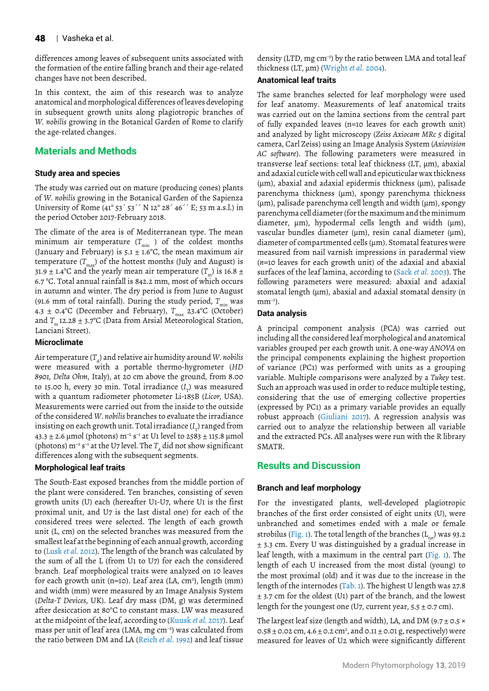differences among leaves of subsequent units associated with the formation of the entire falling branch and their age-related changes have not been described.

In this context, the aim of this research was to analyze anatomical and morphological differences of leaves developing in subsequent growth units along plagiotropic branches of *W. nobilis* growing in the Botanical Garden of Rome to clarify the age-related changes.

## **Materials and Methods**

### **Study area and species**

The study was carried out on mature (producing cones) plants of *W. nobilis* growing in the Botanical Garden of the Sapienza University of Rome (41° 53´ 53´´ N 12° 28´ 46´´ E; 53 m a.s.l.) in the period October 2017-February 2018.

The climate of the area is of Mediterranean type. The mean minimum air temperature  $(T_{\min}$  ) of the coldest months (January and February) is 5.1  $\pm$  1.6°C, the mean maximum air temperature  $(T_{\text{max}})$  of the hottest months (July and August) is 31.9  $\pm$  1.4°C and the yearly mean air temperature ( $T<sub>m</sub>$ ) is 16.8  $\pm$ 6.7 °C. Total annual rainfall is 842.2 mm, most of which occurs in autumn and winter. The dry period is from June to August (91.6 mm of total rainfall). During the study period,  $T_{\text{min}}$  was 4.3  $\pm$  0.4°C (December and February),  $T_{\text{max}}$  23.4°C (October) and  $T_m$  12.28  $\pm$  3.7°C (Data from Arsial Meteorological Station, Lanciani Street).

### **Microclimate**

Air temperature  $(T_A)$  and relative air humidity around *W. nobilis* were measured with a portable thermo-hygrometer (*HD 8901, Delta Ohm*, Italy), at 20 cm above the ground, from 8.00 to 15.00 h, every 30 min. Total irradiance (I<sub>T</sub>) was measured with a quantum radiometer photometer Li-185B (*Licor*, USA). Measurements were carried out from the inside to the outside of the considered *W. nobilis* branches to evaluate the irradiance insisting on each growth unit. Total irradiance ( $I_{_{\rm T}}$ ) ranged from 43.3 ± 2.6 µmol (photons)  $m^{-2}$  s<sup>-1</sup> at U1 level to 2583 ± 115.8 µmol (photons)  $m^{-2} s^{-1}$  at the U7 level. The *T<sub>n</sub>* did not show significant differences along with the subsequent segments.

## **Morphological leaf traits**

The South-East exposed branches from the middle portion of the plant were considered. Ten branches, consisting of seven growth units (U) each (hereafter U1-U7, where U1 is the first proximal unit, and U7 is the last distal one) for each of the considered trees were selected. The length of each growth unit (L, cm) on the selected branches was measured from the smallest leaf at the beginning of each annual growth, according to (Lusk *et al.* 2012). The length of the branch was calculated by the sum of all the L (from U1 to U7) for each the considered branch. Leaf morphological traits were analyzed on 10 leaves for each growth unit (n=10). Leaf area (LA, cm<sup>2</sup>), length (mm) and width (mm) were measured by an Image Analysis System (*Delta-T Devices*, UK). Leaf dry mass (DM, g) was determined after desiccation at 80°C to constant mass. LW was measured at the midpoint of the leaf, according to (Kuusk *et al.* 2017). Leaf mass per unit of leaf area (LMA, mg cm–2) was calculated from the ratio between DM and LA (Reich *et al*. 1992) and leaf tissue

density (LTD, mg cm<sup>-3</sup>) by the ratio between LMA and total leaf thickness (LT, µm) (Wright *et al*. 2004).

## **Anatomical leaf traits**

The same branches selected for leaf morphology were used for leaf anatomy. Measurements of leaf anatomical traits was carried out on the lamina sections from the central part of fully expanded leaves (n=10 leaves for each growth unit) and analyzed by light microscopy (*Zeiss Axiocam MRc 5* digital camera, Carl Zeiss) using an Image Analysis System (*Axiovision AC software*). The following parameters were measured in transverse leaf sections: total leaf thickness (LT, µm), abaxial and adaxial cuticle with cell wall and epicuticular wax thickness (µm), abaxial and adaxial epidermis thickness (µm), palisade parenchyma thickness (µm), spongy parenchyma thickness  $(\mu m)$ , palisade parenchyma cell length and width  $(\mu m)$ , spongy parenchyma cell diameter (for the maximum and the minimum diameter,  $\mu$ m), hypodermal cells length and width ( $\mu$ m), vascular bundles diameter ( $\mu$ m), resin canal diameter ( $\mu$ m), diameter of compartmented cells (µm). Stomatal features were measured from nail varnish impressions in paradermal view (*n*=10 leaves for each growth unit) of the adaxial and abaxial surfaces of the leaf lamina, according to (Sack *et al.* 2003). The following parameters were measured: abaxial and adaxial stomatal length  $(\mu m)$ , abaxial and adaxial stomatal density (n  $mm^{-2}$ ).

#### **Data analysis**

A principal component analysis (PCA) was carried out including all the considered leaf morphological and anatomical variables grouped per each growth unit. A one-way *ANOVA* on the principal components explaining the highest proportion of variance (PC1) was performed with units as a grouping variable. Multiple comparisons were analyzed by a *Tukey* test. Such an approach was used in order to reduce multiple testing, considering that the use of emerging collective properties (expressed by PC1) as a primary variable provides an equally robust approach (Giuliani 2017). A regression analysis was carried out to analyze the relationship between all variable and the extracted PCs. All analyses were run with the R library SMATR.

## **Results and Discussion**

## **Branch and leaf morphology**

For the investigated plants, well-developed plagiotropic branches of the first order consisted of eight units (U), were unbranched and sometimes ended with a male or female strobilus (Fig. 1). The total length of the branches ( $L_{tot}$ ) was 93.2 ± 3.3 cm. Every U was distinguished by a gradual increase in leaf length, with a maximum in the central part (Fig. 1). The length of each U increased from the most distal (young) to the most proximal (old) and it was due to the increase in the length of the internodes (Tab. 1). The highest U length was 27.8  $±$  3.7 cm for the oldest (U1) part of the branch, and the lowest length for the youngest one (U7, current year,  $5.5 \pm 0.7$  cm).

The largest leaf size (length and width), LA, and DM (9.7  $\pm$  0.5  $\times$ 0.58  $\pm$  0.02 cm, 4.6  $\pm$  0.2 cm<sup>2</sup>, and 0.11  $\pm$  0.01 g, respectively) were measured for leaves of U2 which were significantly different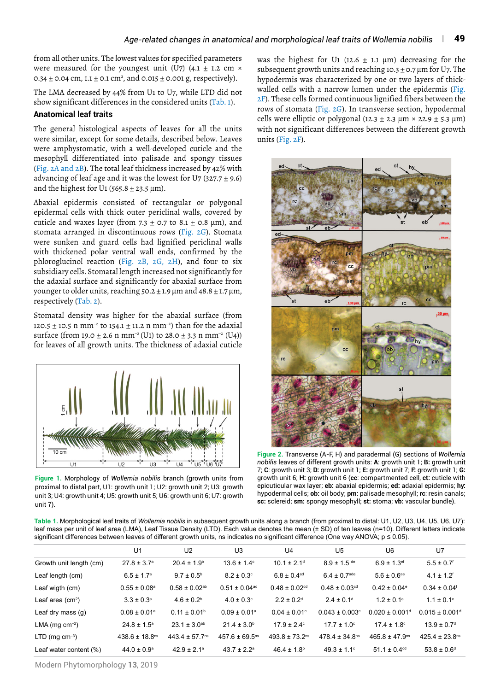from all other units. The lowest values for specified parameters were measured for the youngest unit (U7) (4.1  $\pm$  1.2 cm  $\times$ 0.34  $\pm$  0.04 cm, 1.1  $\pm$  0.1 cm², and 0.015  $\pm$  0.001 g, respectively).

The LMA decreased by 44% from U1 to U7, while LTD did not show significant differences in the considered units (Tab. 1).

## **Anatomical leaf traits**

The general histological aspects of leaves for all the units were similar, except for some details, described below. Leaves were amphystomatic, with a well-developed cuticle and the mesophyll differentiated into palisade and spongy tissues (Fig. 2A and 2B). The total leaf thickness increased by 42% with advancing of leaf age and it was the lowest for U7 (327.7  $\pm$  9.6) and the highest for U1 (565.8  $\pm$  23.5 µm).

Abaxial epidermis consisted of rectangular or polygonal epidermal cells with thick outer periclinal walls, covered by cuticle and waxes layer (from  $7.3 \pm 0.7$  to  $8.1 \pm 0.8$  µm), and stomata arranged in discontinuous rows (Fig. 2G). Stomata were sunken and guard cells had lignified periclinal walls with thickened polar ventral wall ends, confirmed by the phloroglucinol reaction (Fig. 2B, 2G, 2H), and four to six subsidiary cells. Stomatal length increased not significantly for the adaxial surface and significantly for abaxial surface from younger to older units, reaching  $50.2 \pm 1.9 \,\mu m$  and  $48.8 \pm 1.7 \,\mu m$ , respectively (Tab. 2).

Stomatal density was higher for the abaxial surface (from 120.5 ± 10.5 n mm<sup>-2</sup> to 154.1 ± 11.2 n mm<sup>-2</sup>) than for the adaxial surface (from 19.0  $\pm$  2.6 n mm<sup>-2</sup> (U1) to 28.0  $\pm$  3.3 n mm<sup>-2</sup> (U4)) for leaves of all growth units. The thickness of adaxial cuticle



**Figure 1.** Morphology of *Wollemia nobilis* branch (growth units from proximal to distal part, U1: growth unit 1; U2: growth unit 2; U3: growth unit 3; U4: growth unit 4; U5: growth unit 5; U6: growth unit 6; U7: growth unit 7).

was the highest for U1 (12.6  $+$  1.1  $\mu$ m) decreasing for the subsequent growth units and reaching 10.3 + 0.7 um for U7. The hypodermis was characterized by one or two layers of thickwalled cells with a narrow lumen under the epidermis (Fig. 2F). These cells formed continuous lignified fibers between the rows of stomata (Fig. 2G). In transverse section, hypodermal cells were elliptic or polygonal (12.3  $\pm$  2.3  $\mu$ m × 22.9  $\pm$  5.3  $\mu$ m) with not significant differences between the different growth units (Fig. 2F).



**Figure 2.** Transverse (A-F, H) and paradermal (G) sections of *Wollemia nobilis* leaves of different growth units: **A**: growth unit 1; **B:** growth unit 7; **C**: growth unit 3; **D:** growth unit 1; **E:** growth unit 7; **F:** growth unit 1; **G:** growth unit 6; **H:** growth unit 6 (**cc**: compartmented cell, **ct:** cuticle with epicuticular wax layer; **eb:** abaxial epidermis; **ed:** adaxial epidermis; **hy:** hypodermal cells; **ob:** oil body; **pm:** palisade mesophyll; **rc**: resin canals; **sc:** sclereid; **sm:** spongy mesophyll; **st:** stoma; **vb:** vascular bundle).

**Table 1.** Morphological leaf traits of *Wollemia nobilis* in subsequent growth units along a branch (from proximal to distal: U1, U2, U3, U4, U5, U6, U7): leaf mass per unit of leaf area (LMA), Leaf Tissue Density (LTD). Each value denotes the mean (± SD) of ten leaves (n=10). Different letters indicate significant differences between leaves of different growth units, ns indicates no significant difference (One way ANOVA; p ≤ 0.05).

|                              | U1                             | U <sub>2</sub>                | U3                             | U <sub>4</sub>                 | U <sub>5</sub>                 | U6                             | U7                             |
|------------------------------|--------------------------------|-------------------------------|--------------------------------|--------------------------------|--------------------------------|--------------------------------|--------------------------------|
| Growth unit length (cm)      | $27.8 \pm 3.7^{\circ}$         | $20.4 \pm 1.9^{\circ}$        | $13.6 \pm 1.4^{\circ}$         | $10.1 \pm 2.1$ <sup>d</sup>    | $8.9 \pm 1.5$ de               | $6.9 \pm 1.3$ <sup>ef</sup>    | $5.5 \pm 0.7$ <sup>f</sup>     |
| Leaf length (cm)             | $6.5 \pm 1.7$ <sup>a</sup>     | $9.7 \pm 0.5^{\circ}$         | $8.2 \pm 0.3$ °                | $6.8 \pm 0.4$ <sup>ad</sup>    | $6.4 \pm 0.7$ <sup>ade</sup>   | $5.6 \pm 0.6^{\text{ae}}$      | $4.1 \pm 1.2$ <sup>f</sup>     |
| Leaf wigth (cm)              | $0.55 \pm 0.08^{\circ}$        | $0.58 \pm 0.02$ <sup>ab</sup> | $0.51 \pm 0.04$ <sup>ac</sup>  | $0.48 \pm 0.02$ <sup>cd</sup>  | $0.48 \pm 0.03$ <sup>cd</sup>  | $0.42 \pm 0.04$ <sup>e</sup>   | $0.34 \pm 0.04$ <sup>f</sup>   |
| Leaf area $(cm2)$            | $3.3 \pm 0.3^{\circ}$          | $4.6 \pm 0.2^b$               | $4.0 \pm 0.3$ °                | $2.2 \pm 0.2$ <sup>d</sup>     | $2.4 \pm 0.1$ <sup>d</sup>     | $1.2 \pm 0.1$ <sup>e</sup>     | $1.1 \pm 0.1^e$                |
| Leaf dry mass $(q)$          | $0.08 \pm 0.01$ <sup>a</sup>   | $0.11 \pm 0.01$ <sup>b</sup>  | $0.09 \pm 0.01$ <sup>a</sup>   | $0.04 \pm 0.01$ °              | $0.043 \pm 0.003$ <sup>c</sup> | $0.020 \pm 0.001$ <sup>d</sup> | $0.015 \pm 0.001$ <sup>d</sup> |
| LMA (mg $cm^{-2}$ )          | $24.8 \pm 1.5^a$               | $23.1 \pm 3.0^{ab}$           | $21.4 \pm 3.0^{\circ}$         | $17.9 \pm 2.4^{\circ}$         | $17.7 \pm 1.0^{\circ}$         | $17.4 \pm 1.8$ °               | $13.9 \pm 0.7$ <sup>d</sup>    |
| $LTD$ (mg cm <sup>-3</sup> ) | $438.6 \pm 18.8$ <sup>ns</sup> | 443.4 ± 57.7 <sup>ns</sup>    | $457.6 \pm 69.5$ <sup>ns</sup> | $493.8 \pm 73.2$ <sup>ns</sup> | $478.4 \pm 34.8$ <sup>ns</sup> | $465.8 \pm 47.9$ <sup>ns</sup> | $425.4 \pm 23.8$ <sup>ns</sup> |
| Leaf water content (%)       | $44.0 \pm 0.9^{\circ}$         | $42.9 \pm 2.1$ <sup>a</sup>   | $43.7 \pm 2.2^a$               | $46.4 \pm 1.8$ <sup>b</sup>    | $49.3 \pm 1.1$ °               | $51.1 \pm 0.4$ <sup>cd</sup>   | $53.8 \pm 0.6^{\circ}$         |

Modern Phytomorphology **13**, 2019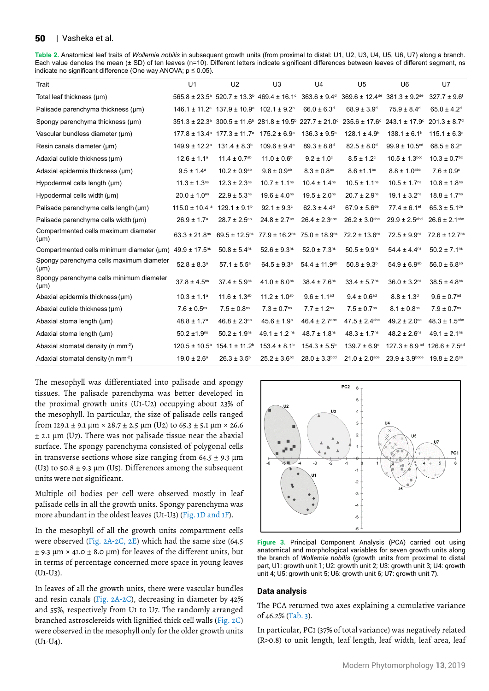#### 50 | Vasheka et al.

**Table 2.** Anatomical leaf traits of *Wollemia nobilis* in subsequent growth units (from proximal to distal: U1, U2, U3, U4, U5, U6, U7) along a branch. Each value denotes the mean (± SD) of ten leaves (n=10). Different letters indicate significant differences between leaves of different segment, ns indicate no significant difference (One way ANOVA;  $p \le 0.05$ ).

| Trait                                                 | U1                            | U <sub>2</sub>                                                                           | U <sub>3</sub>                                                                                                          | U4                            | U <sub>5</sub>                 | U6                                         | U7                            |
|-------------------------------------------------------|-------------------------------|------------------------------------------------------------------------------------------|-------------------------------------------------------------------------------------------------------------------------|-------------------------------|--------------------------------|--------------------------------------------|-------------------------------|
| Total leaf thickness (µm)                             |                               |                                                                                          | $565.8 \pm 23.5^{\circ}$ 520.7 $\pm$ 13.3 <sup>b</sup> 469.4 $\pm$ 16.1 <sup>c</sup>                                    | $363.6 \pm 9.4$ <sup>d</sup>  | $369.6 \pm 12.4$ <sup>de</sup> | $381.3 \pm 9.2$ <sup>de</sup>              | $327.7 \pm 9.6$ <sup>f</sup>  |
| Palisade parenchyma thickness (µm)                    |                               | $146.1 \pm 11.2$ <sup>a</sup> $137.9 \pm 10.9$ <sup>a</sup> $102.1 \pm 9.2$ <sup>b</sup> |                                                                                                                         | $66.0 \pm 6.3$ <sup>d</sup>   | $68.9 \pm 3.9$ <sup>d</sup>    | $75.9 \pm 8.4$ <sup>d</sup>                | $65.0 \pm 4.2$ <sup>d</sup>   |
| Spongy parenchyma thickness (µm)                      |                               |                                                                                          | $351.3 \pm 22.3$ <sup>a</sup> $300.5 \pm 11.6$ <sup>b</sup> $281.8 \pm 19.5$ <sup>b</sup> $227.7 \pm 21.0$ <sup>c</sup> |                               |                                | $235.6 \pm 17.6^{\circ}$ 243.1 $\pm$ 17.9° | $201.3 \pm 8.7$ <sup>d</sup>  |
| Vascular bundless diameter (µm)                       |                               | $177.8 \pm 13.4$ <sup>a</sup> $177.3 \pm 11.7$ <sup>a</sup>                              | $175.2 \pm 6.9^{\circ}$                                                                                                 | $136.3 \pm 9.5^{\circ}$       | $128.1 \pm 4.9^b$              | $138.1 \pm 6.1$ <sup>b</sup>               | $115.1 \pm 6.3$ <sup>c</sup>  |
| Resin canals diameter (µm)                            | $149.9 \pm 12.2$ <sup>a</sup> | $131.4 \pm 8.3^b$                                                                        | $109.6 \pm 9.4$ °                                                                                                       | $89.3 \pm 8.8$ <sup>d</sup>   | $82.5 \pm 8.0$ <sup>d</sup>    | $99.9 \pm 10.5$ <sup>cd</sup>              | $68.5 \pm 6.2^e$              |
| Adaxial cuticle thickness (µm)                        | $12.6 \pm 1.1^a$              | $11.4 \pm 0.7$ <sup>ab</sup>                                                             | $11.0 \pm 0.6$ <sup>b</sup>                                                                                             | $9.2 \pm 1.0^{\circ}$         | $8.5 \pm 1.2$ <sup>c</sup>     | $10.5 \pm 1.3^{bcd}$                       | $10.3 \pm 0.7$ <sup>bc</sup>  |
| Adaxial epidermis thickness (µm)                      | $9.5 \pm 1.4^a$               | $10.2 \pm 0.9^{ab}$                                                                      | $9.8 \pm 0.9^{ab}$                                                                                                      | $8.3 \pm 0.8$ <sup>ac</sup>   | $8.6 \pm 1.1$ <sup>ac</sup>    | $8.8 \pm 1.0$ <sup>abc</sup>               | $7.6 \pm 0.9^{\circ}$         |
| Hypodermal cells length (µm)                          | $11.3 \pm 1.3$ <sup>ns</sup>  | $12.3 \pm 2.3$ <sup>ns</sup>                                                             | $10.7 \pm 1.1$ <sup>ns</sup>                                                                                            | $10.4 \pm 1.4$ <sup>ns</sup>  | $10.5 \pm 1.1$ <sup>ns</sup>   | $10.5 \pm 1.7$ <sup>ns</sup>               | $10.8 \pm 1.8$ <sup>ns</sup>  |
| Hypodermal cells width (um)                           | $20.0 \pm 1.0$ <sup>ns</sup>  | $22.9 \pm 5.3^{ns}$                                                                      | $19.6 \pm 4.0$ <sup>ns</sup>                                                                                            | $19.5 \pm 2.0$ <sup>ns</sup>  | $20.7 \pm 2.9$ <sup>ns</sup>   | $19.1 \pm 3.2$ <sup>ns</sup>               | $18.8 \pm 1.7$ <sup>ns</sup>  |
| Palisade parenchyma cells length (µm)                 | $115.0 \pm 10.4$ <sup>a</sup> | $129.1 \pm 9.1$ <sup>b</sup>                                                             | $92.1 \pm 9.3$ °                                                                                                        | $62.3 \pm 4.4$ <sup>d</sup>   | $67.9 \pm 5.6^{\text{de}}$     | $77.4 \pm 6.1$ ef                          | $65.3 \pm 5.1^{\text{de}}$    |
| Palisade parenchyma cells width (µm)                  | $26.9 \pm 1.7^a$              | $28.7 \pm 2.5^{ab}$                                                                      | $24.8 \pm 2.7$ <sup>ac</sup>                                                                                            | $26.4 \pm 2.3$ abc            | $26.2 \pm 3.0$ <sup>abc</sup>  | $29.9 \pm 2.5$ <sup>abd</sup>              | $26.6 \pm 2.1$ <sup>abc</sup> |
| Compartmented cells maximum diameter<br>$(\mu m)$     | $63.3 \pm 21.8$ <sup>ns</sup> | $69.5 \pm 12.5$ <sup>ns</sup>                                                            | $77.9 \pm 16.2$ <sup>ns</sup>                                                                                           | $75.0 \pm 18.9$ <sup>ns</sup> | $72.2 \pm 13.6$ ns             | $72.5 \pm 9.9$ <sup>ns</sup>               | 72.6 ± 12.7 <sup>ns</sup>     |
| Compartmented cells minimum diameter (µm)             | $49.9 \pm 17.5$ <sup>ns</sup> | $50.8 \pm 5.4$ <sup>ns</sup>                                                             | $52.6 \pm 9.3^{ns}$                                                                                                     | $52.0 \pm 7.3$ <sup>ns</sup>  | $50.5 \pm 9.9^{ns}$            | $54.4 \pm 4.4$ <sup>ns</sup>               | $50.2 \pm 7.1$ <sup>ns</sup>  |
| Spongy parenchyma cells maximum diameter<br>$(\mu m)$ | $52.8 \pm 8.3^{\circ}$        | $57.1 \pm 5.5^a$                                                                         | $64.5 \pm 9.3^{\circ}$                                                                                                  | $54.4 \pm 11.9^{ab}$          | $50.8 \pm 9.3^b$               | $54.9 \pm 6.9^{ab}$                        | $56.0 \pm 6.8^{ab}$           |
| Spongy parenchyma cells minimum diameter<br>$(\mu m)$ | $37.8 \pm 4.5$ <sup>ns</sup>  | $37.4 \pm 5.9^{ns}$                                                                      | $41.0 \pm 8.0$ <sup>ns</sup>                                                                                            | $38.4 \pm 7.6$ <sup>ns</sup>  | $33.4 \pm 5.7$ <sup>ns</sup>   | $36.0 \pm 3.2$ <sup>ns</sup>               | $38.5 \pm 4.8$ <sup>ns</sup>  |
| Abaxial epidermis thickness (µm)                      | $10.3 \pm 1.1^a$              | $11.6 \pm 1.3^{ab}$                                                                      | $11.2 \pm 1.0^{ab}$                                                                                                     | $9.6 \pm 1.1$ <sup>ad</sup>   | $9.4 \pm 0.6$ <sup>ad</sup>    | $8.8 \pm 1.3$ <sup>d</sup>                 | $9.6 \pm 0.7^{\rm ad}$        |
| Abaxial cuticle thickness (um)                        | $7.6 \pm 0.5$ <sup>ns</sup>   | $7.5 \pm 0.8$ <sup>ns</sup>                                                              | $7.3 \pm 0.7$ <sup>ns</sup>                                                                                             | $7.7 \pm 1.2$ <sup>ns</sup>   | $7.5 \pm 0.7$ <sup>ns</sup>    | $8.1 \pm 0.8$ <sup>ns</sup>                | $7.9 \pm 0.7$ <sup>ns</sup>   |
| Abaxial stoma length (µm)                             | $48.8 \pm 1.7^a$              | $46.8 \pm 2.3^{ab}$                                                                      | $45.6 \pm 1.9^{\circ}$                                                                                                  | $46.4 \pm 2.7$ <sup>abc</sup> | $47.5 \pm 2.4$ <sup>abc</sup>  | $49.2 \pm 2.0$ <sup>ac</sup>               | $48.3 \pm 1.5$ <sup>abc</sup> |
| Adaxial stoma length (µm)                             | $50.2 \pm 1.9$ <sup>ns</sup>  | $50.2 \pm 1.9^{ns}$                                                                      | $49.1 \pm 1.2$ <sup>ns</sup>                                                                                            | $48.7 \pm 1.8$ <sup>ns</sup>  | $48.3 \pm 1.7$ <sup>ns</sup>   | $48.2 \pm 2.6$ <sup>ns</sup>               | $49.1 \pm 2.1$ <sup>ns</sup>  |
| Abaxial stomatal density (n mm <sup>-2</sup> )        | $120.5 \pm 10.5^{\circ}$      | $154.1 \pm 11.2$ <sup>b</sup>                                                            | $153.4 \pm 8.1$ <sup>b</sup>                                                                                            | $154.3 \pm 5.5^b$             | $139.7 \pm 6.9$ <sup>c</sup>   | $127.3 \pm 8.9$ ad                         | $126.6 \pm 7.5$ <sup>ac</sup> |
| Adaxial stomatal density (n mm <sup>-2</sup> )        | $19.0 \pm 2.6^{\circ}$        | $26.3 \pm 3.5^{\circ}$                                                                   | $25.2 \pm 3.6^{bc}$                                                                                                     | $28.0 \pm 3.3^{bcd}$          | $21.0 \pm 2.0$ <sub>ace</sub>  | $23.9 \pm 3.9^{\text{bcde}}$               | $19.8 \pm 2.5$ <sup>ae</sup>  |

The mesophyll was differentiated into palisade and spongy tissues. The palisade parenchyma was better developed in the proximal growth units (U1-U2) occupying about 23% of the mesophyll. In particular, the size of palisade cells ranged from 129.1 ± 9.1  $\mu$ m × 28.7 ± 2.5  $\mu$ m (U2) to 65.3 ± 5.1  $\mu$ m × 26.6  $±$  2.1  $\mu$ m (U7). There was not palisade tissue near the abaxial surface. The spongy parenchyma consisted of polygonal cells in transverse sections whose size ranging from  $64.5 \pm 9.3 \mu m$ (U3) to 50.8  $\pm$  9.3 µm (U5). Differences among the subsequent units were not significant.

Multiple oil bodies per cell were observed mostly in leaf palisade cells in all the growth units. Spongy parenchyma was more abundant in the oldest leaves (U1-U3) (Fig. 1D and 1F).

In the mesophyll of all the growth units compartment cells were observed (Fig. 2A-2C, 2E) which had the same size (64.5  $\pm$  9.3 µm  $\times$  41.0  $\pm$  8.0 µm) for leaves of the different units, but in terms of percentage concerned more space in young leaves (U1-U3).

In leaves of all the growth units, there were vascular bundles and resin canals (Fig. 2A-2C), decreasing in diameter by 42% and 55%, respectively from U1 to U7. The randomly arranged branched astrosclereids with lignified thick cell walls (Fig. 2C) were observed in the mesophyll only for the older growth units (U1-U4).



**Figure 3.** Principal Component Analysis (PCA) carried out using anatomical and morphological variables for seven growth units along the branch of *Wollemia nobilis* (growth units from proximal to distal part, U1: growth unit 1; U2: growth unit 2; U3: growth unit 3; U4: growth unit 4; U5: growth unit 5; U6: growth unit 6; U7: growth unit 7).

#### **Data analysis**

The PCA returned two axes explaining a cumulative variance of 46.2% (Tab. 3).

In particular, PC1 (37% of total variance) was negatively related (R>0.8) to unit length, leaf length, leaf width, leaf area, leaf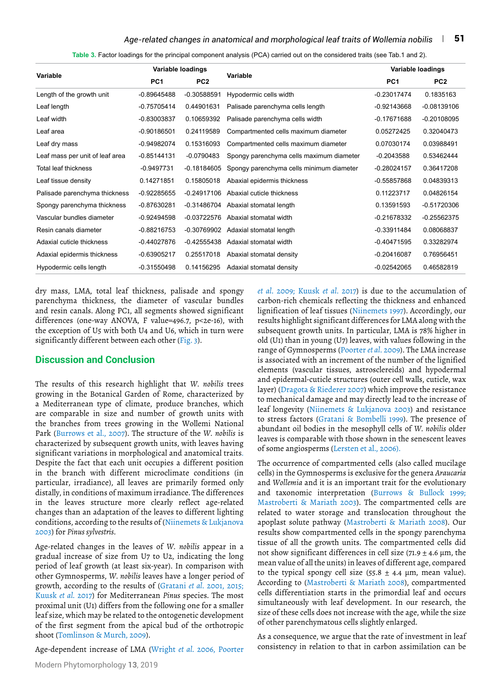#### *Age-related changes in anatomical and morphological leaf traits of Wollemia nobilis* | 51

**Table 3.** Factor loadings for the principal component analysis (PCA) carried out on the considered traits (see Tab.1 and 2).

| Variable                        | Variable loadings |                 | Variable                                 | Variable loadings |                 |  |
|---------------------------------|-------------------|-----------------|------------------------------------------|-------------------|-----------------|--|
|                                 | PC <sub>1</sub>   | PC <sub>2</sub> |                                          | PC <sub>1</sub>   | PC <sub>2</sub> |  |
| Length of the growth unit       | $-0.89645488$     | $-0.30588591$   | Hypodermic cells width                   | $-0.23017474$     | 0.1835163       |  |
| Leaf length                     | $-0.75705414$     | 0.44901631      | Palisade parenchyma cells length         | -0.92143668       | $-0.08139106$   |  |
| Leaf width                      | -0.83003837       | 0.10659392      | Palisade parenchyma cells width          | $-0.17671688$     | $-0.20108095$   |  |
| Leaf area                       | $-0.90186501$     | 0.24119589      | Compartmented cells maximum diameter     | 0.05272425        | 0.32040473      |  |
| Leaf dry mass                   | $-0.94982074$     | 0.15316093      | Compartmented cells maximum diameter     | 0.07030174        | 0.03988491      |  |
| Leaf mass per unit of leaf area | $-0.85144131$     | $-0.0790483$    | Spongy parenchyma cells maximum diameter | $-0.2043588$      | 0.53462444      |  |
| Total leaf thickness            | $-0.9497731$      | $-0.18184605$   | Spongy parenchyma cells minimum diameter | $-0.28024157$     | 0.36417208      |  |
| Leaf tissue density             | 0.14271851        | 0.15805018      | Abaxial epidermis thickness              | -0.55857868       | 0.04839313      |  |
| Palisade parenchyma thickness   | $-0.92285655$     | $-0.24917106$   | Abaxial cuticle thickness                | 0.11223717        | 0.04826154      |  |
| Spongy parenchyma thickness     | -0.87630281       | $-0.31486704$   | Abaxial stomatal length                  | 0.13591593        | $-0.51720306$   |  |
| Vascular bundles diameter       | $-0.92494598$     | $-0.03722576$   | Abaxial stomatal width                   | -0.21678332       | $-0.25562375$   |  |
| Resin canals diameter           | $-0.88216753$     | $-0.30769902$   | Adaxial stomatal length                  | $-0.33911484$     | 0.08068837      |  |
| Adaxial cuticle thickness       | $-0.44027876$     | $-0.42555438$   | Adaxial stomatal width                   | $-0.40471595$     | 0.33282974      |  |
| Adaxial epidermis thickness     | $-0.63905217$     | 0.25517018      | Abaxial stomatal density                 | $-0.20416087$     | 0.76956451      |  |
| Hypodermic cells length         | $-0.31550498$     | 0.14156295      | Adaxial stomatal density                 | $-0.02542065$     | 0.46582819      |  |

dry mass, LMA, total leaf thickness, palisade and spongy parenchyma thickness, the diameter of vascular bundles and resin canals. Along PC1, all segments showed significant differences (one-way ANOVA, F value=496.7, p<2e-16), with the exception of U5 with both U4 and U6, which in turn were significantly different between each other (Fig. 3).

## **Discussion and Conclusion**

The results of this research highlight that *W. nobilis* trees growing in the Botanical Garden of Rome, characterized by a Mediterranean type of climate, produce branches, which are comparable in size and number of growth units with the branches from trees growing in the Wollemi National Park (Burrows et al., 2007). The structure of the *W. nobilis* is characterized by subsequent growth units, with leaves having significant variations in morphological and anatomical traits. Despite the fact that each unit occupies a different position in the branch with different microclimate conditions (in particular, irradiance), all leaves are primarily formed only distally, in conditions of maximum irradiance. The differences in the leaves structure more clearly reflect age-related changes than an adaptation of the leaves to different lighting conditions, according to the results of (Niinemets & Lukjanova 2003) for *Pinus sylvestris*.

Age-related changes in the leaves of *W. nobilis* appear in a gradual increase of size from U7 to U2, indicating the long period of leaf growth (at least six-year). In comparison with other Gymnosperms, *W. nobilis* leaves have a longer period of growth, according to the results of (Gratani *et al*. 2001, 2015; Kuusk *et al.* 2017) for Mediterranean *Pinus* species. The most proximal unit (U1) differs from the following one for a smaller leaf size, which may be related to the ontogenetic development of the first segment from the apical bud of the orthotropic shoot (Tomlinson & Murch, 2009).

Age-dependent increase of LMA (Wright *et al*. 2006, Poorter

*et al*. 2009; Kuusk *et al*. 2017) is due to the accumulation of carbon-rich chemicals reflecting the thickness and enhanced lignification of leaf tissues (Niinemets 1997). Accordingly, our results highlight significant differences for LMA along with the subsequent growth units. In particular, LMA is 78% higher in old (U1) than in young (U7) leaves, with values following in the range of Gymnosperms (Poorter *et al*. 2009). The LMA increase is associated with an increment of the number of the lignified elements (vascular tissues, astrosclereids) and hypodermal and epidermal-cuticle structures (outer cell walls, cuticle, wax layer) (Dragota & Riederer 2007) which improve the resistance to mechanical damage and may directly lead to the increase of leaf longevity (Niinemets & Lukjanova 2003) and resistance to stress factors (Gratani & Bombelli 1999). The presence of abundant oil bodies in the mesophyll cells of *W. nobilis* older leaves is comparable with those shown in the senescent leaves of some angiosperms (Lersten et al., 2006).

The occurrence of compartmented cells (also called mucilage cells) in the Gymnosperms is exclusive for the genera *Araucaria*  and *Wollemia* and it is an important trait for the evolutionary and taxonomic interpretation (Burrows & Bullock 1999; Mastroberti & Mariath 2003). The compartmented cells are related to water storage and translocation throughout the apoplast solute pathway (Mastroberti & Mariath 2008). Our results show compartmented cells in the spongy parenchyma tissue of all the growth units. The compartmented cells did not show significant differences in cell size (71.9  $\pm$  4.6 µm, the mean value of all the units) in leaves of different age, compared to the typical spongy cell size (55.8  $\pm$  4.4 µm, mean value). According to (Mastroberti & Mariath 2008), compartmented cells differentiation starts in the primordial leaf and occurs simultaneously with leaf development. In our research, the size of these cells does not increase with the age, while the size of other parenchymatous cells slightly enlarged.

As a consequence, we argue that the rate of investment in leaf consistency in relation to that in carbon assimilation can be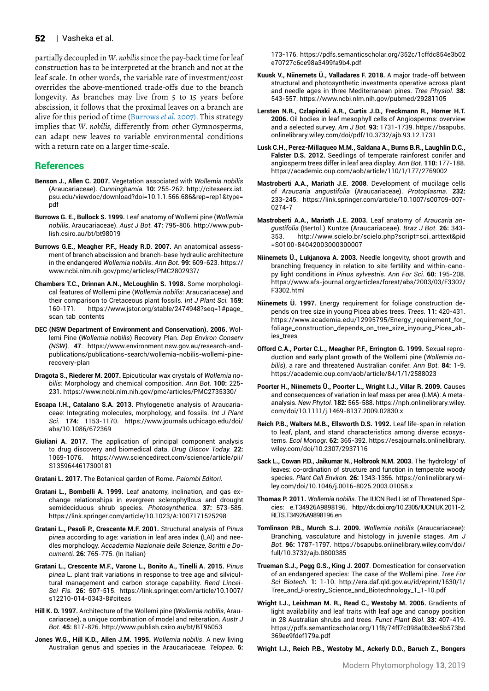#### 52 | Vasheka et al.

partially decoupled in *W. nobilis* since the pay-back time for leaf construction has to be interpreted at the branch and not at the leaf scale. In other words, the variable rate of investment/cost overrides the above-mentioned trade-offs due to the branch longevity. As branches may live from 5 to 15 years before abscission, it follows that the proximal leaves on a branch are alive for this period of time (Burrows *et al.* 2007). This strategy implies that *W. nobilis,* differently from other Gymnosperms, can adapt new leaves to variable environmental conditions with a return rate on a larger time-scale.

## **References**

- **Benson J., Allen C. 2007.** Vegetation associated with *Wollemia nobilis* (Araucariaceae). *Cunninghamia.* **10:** 255-262. [http://citeseerx.ist.](http://citeseerx.ist.psu.edu/viewdoc/download?doi=10.1.1.566.686&rep=rep1&type=pdf) [psu.edu/viewdoc/download?doi=10.1.1.566.686&rep=rep1&type=](http://citeseerx.ist.psu.edu/viewdoc/download?doi=10.1.1.566.686&rep=rep1&type=pdf) [pdf](http://citeseerx.ist.psu.edu/viewdoc/download?doi=10.1.1.566.686&rep=rep1&type=pdf)
- **Burrows G. E., Bullock S. 1999.** Leaf anatomy of Wollemi pine (*Wollemia nobilis*, Araucariaceae). *Aust J Bot.* **47:** 795-806. [http://www.pub](http://www.publish.csiro.au/bt/bt98019)[lish.csiro.au/bt/bt98019](http://www.publish.csiro.au/bt/bt98019)
- **Burrows G.E., Meagher P.F., Heady R.D. 2007.** An anatomical assessment of branch abscission and branch-base hydraulic architecture in the endangered *Wollemia nobilis*. *Ann Bot.* **99:** 609-623. [https://](https://www.ncbi.nlm.nih.gov/pmc/articles/PMC2802937/) [www.ncbi.nlm.nih.gov/pmc/articles/PMC2802937/](https://www.ncbi.nlm.nih.gov/pmc/articles/PMC2802937/)
- **Chambers T.C., Drinnan A.N., McLoughlin S. 1998.** Some morphological features of Wollemi pine (*Wollemia nobilis*: Araucariaceae) and their comparison to Cretaceous plant fossils. *Int J Plant Sci.* **159:**  160-171. [https://www.jstor.org/stable/2474948?seq=1#page\\_](https://www.jstor.org/stable/2474948?seq=1#page_scan_tab_contents) [scan\\_tab\\_contents](https://www.jstor.org/stable/2474948?seq=1#page_scan_tab_contents)
- **DEC (NSW Department of Environment and Conservation). 2006.** Wollemi Pine (*Wollemia nobilis*) Recovery Plan. *Dep Environ Conserv (NSW).* **47**. [https://www.environment.nsw.gov.au/research-and](https://www.environment.nsw.gov.au/research-and-publications/publications-search/wollemia-nobilis-wollemi-pine-recovery-plan)[publications/publications-search/wollemia-nobilis-wollemi-pine](https://www.environment.nsw.gov.au/research-and-publications/publications-search/wollemia-nobilis-wollemi-pine-recovery-plan)[recovery-plan](https://www.environment.nsw.gov.au/research-and-publications/publications-search/wollemia-nobilis-wollemi-pine-recovery-plan)
- **Dragota S., Riederer M. 2007.** Epicuticular wax crystals of *Wollemia nobilis*: Morphology and chemical composition. *Ann Bot.* **100:** 225- 231. <https://www.ncbi.nlm.nih.gov/pmc/articles/PMC2735330/>
- **Escapa I.H., Catalano S.A. 2013.** Phylogenetic analysis of Araucariaceae: Integrating molecules, morphology, and fossils. *Int J Plant Sci.* **174:** 1153-1170. [https://www.journals.uchicago.edu/doi/](https://www.journals.uchicago.edu/doi/abs/10.1086/672369) [abs/10.1086/672369](https://www.journals.uchicago.edu/doi/abs/10.1086/672369)
- **Giuliani A. 2017.** The application of principal component analysis to drug discovery and biomedical data. *Drug Discov Today.* **22:**  1069-1076. [https://www.sciencedirect.com/science/article/pii/](https://www.sciencedirect.com/science/article/pii/S1359644617300181) [S1359644617300181](https://www.sciencedirect.com/science/article/pii/S1359644617300181)
- **Gratani L. 2017.** The Botanical garden of Rome. *Palombi Editori.*
- **Gratani L., Bombelli A. 1999.** Leaf anatomy, inclination, and gas exchange relationships in evergreen sclerophyllous and drought semideciduous shrub species. *Photosynthetica.* **37:** 573-585. <https://link.springer.com/article/10.1023/A:1007171525298>
- **Gratani L., Pesoli P., Crescente M.F. 2001.** Structural analysis of *Pinus pinea* according to age: variation in leaf area index (LAI) and needles morphology. *Accademia Nazionale delle Scienze, Scritti e Documenti.* **26:** 765-775. (In Italian)
- **Gratani L., Crescente M.F., Varone L., Bonito A., Tinelli A. 2015.** *Pinus pinea* L. plant trait variations in response to tree age and silvicultural management and carbon storage capability. *Rend Lincei-Sci Fis.* **26:** 507-515. [https://link.springer.com/article/10.1007/](https://link.springer.com/article/10.1007/s12210-014-0343-8#citeas) [s12210-014-0343-8#citeas](https://link.springer.com/article/10.1007/s12210-014-0343-8#citeas)
- **Hill K. D. 1997.** Architecture of the Wollemi pine (*Wollemia nobilis*, Araucariaceae), a unique combination of model and reiteration. *Austr J Bot.* **45:** 817-826.<http://www.publish.csiro.au/bt/BT96053>
- **Jones W.G., Hill K.D., Allen J.M. 1995.** *Wollemia nobilis*. A new living Australian genus and species in the Araucariaceae. *Telopea.* **6:**

173-176. [https://pdfs.semanticscholar.org/352c/1cffdc854e3b02](https://pdfs.semanticscholar.org/352c/1cffdc854e3b02e70727c6ce98a3499fa9b4.pdf) [e70727c6ce98a3499fa9b4.pdf](https://pdfs.semanticscholar.org/352c/1cffdc854e3b02e70727c6ce98a3499fa9b4.pdf)

- **Kuusk V., Niinemets Ü., Valladares F. 2018.** A major trade-off between structural and photosynthetic investments operative across plant and needle ages in three Mediterranean pines. *Tree Physiol.* **38:**  543-557.<https://www.ncbi.nlm.nih.gov/pubmed/29281105>
- **Lersten N.R., Czlapinski A.R., Curtis J.D., Freckmann R., Horner H.T. 2006.** Oil bodies in leaf mesophyll cells of Angiosperms: overview and a selected survey. *Am J Bot.* **93:** 1731-1739. [https://bsapubs.](https://bsapubs.onlinelibrary.wiley.com/doi/pdf/10.3732/ajb.93.12.1731) [onlinelibrary.wiley.com/doi/pdf/10.3732/ajb.93.12.1731](https://bsapubs.onlinelibrary.wiley.com/doi/pdf/10.3732/ajb.93.12.1731)
- **Lusk C.H., Perez-Millaqueo M.M., Saldana A., Burns B.R., Laughlin D.C., Falster D.S. 2012.** Seedlings of temperate rainforest conifer and angiosperm trees differ in leaf area display. *Ann Bot.* **110:** 177-188. <https://academic.oup.com/aob/article/110/1/177/2769002>
- **Mastroberti A.A., Mariath J.E. 2008**. Development of mucilage cells of *Araucaria angustifolia* (Araucariaceae). *Protoplasma.* **232:** 233-245. [https://link.springer.com/article/10.1007/s00709-007-](https://link.springer.com/article/10.1007/s00709-007-0274-7) [0274-7](https://link.springer.com/article/10.1007/s00709-007-0274-7)
- **Mastroberti A.A., Mariath J.E. 2003.** Leaf anatomy of *Araucaria angustifolia* (Bertol.) Kuntze (Araucariaceae). *Braz J Bot.* **26:** 343- 353. [http://www.scielo.br/scielo.php?script=sci\\_arttext&pid](http://www.scielo.br/scielo.php?script=sci_arttext&pid=S0100-84042003000300007) [=S0100-84042003000300](http://www.scielo.br/scielo.php?script=sci_arttext&pid=S0100-84042003000300007)007
- **Niinemets Ü., Lukjanova A. 2003.** Needle longevity, shoot growth and branching frequency in relation to site fertility and within-canopy light conditions in *Pinus sylvestris*. *Ann For Sci.* **60:** 195-208. [https://www.afs-journal.org/articles/forest/abs/2003/03/F3302/](https://www.afs-journal.org/articles/forest/abs/2003/03/F3302/F3302.html) [F3302.html](https://www.afs-journal.org/articles/forest/abs/2003/03/F3302/F3302.html)
- **Niinemets Ü. 1997.** Energy requirement for foliage construction depends on tree size in young Picea abies trees. *Trees.* **11:** 420-431. [https://www.academia.edu/12995795/Energy\\_requirement\\_for\\_](https://www.academia.edu/12995795/Energy_requirement_for_foliage_construction_depends_on_tree_size_inyoung_Picea_abies_trees) [foliage\\_construction\\_depends\\_on\\_tree\\_size\\_inyoung\\_Picea\\_ab](https://www.academia.edu/12995795/Energy_requirement_for_foliage_construction_depends_on_tree_size_inyoung_Picea_abies_trees)[ies\\_trees](https://www.academia.edu/12995795/Energy_requirement_for_foliage_construction_depends_on_tree_size_inyoung_Picea_abies_trees)
- **Offord C.A., Porter C.L., Meagher P.F., Errington G. 1999.** Sexual reproduction and early plant growth of the Wollemi pine (*Wollemia nobilis*), a rare and threatened Australian conifer. *Ann Bot.* **84:** 1-9. <https://academic.oup.com/aob/article/84/1/1/2588023>
- **Poorter H., Niinemets Ü., Poorter L., Wright I.J., Villar R. 2009.** Causes and consequences of variation in leaf mass per area (LMA): A metaanalysis. *New Phytol.* **182:** 565-588. [https://nph.onlinelibrary.wiley.](https://nph.onlinelibrary.wiley.com/doi/10.1111/j.1469-8137.2009.02830.x) [com/doi/10.1111/j.1469-8137.2009.02830.x](https://nph.onlinelibrary.wiley.com/doi/10.1111/j.1469-8137.2009.02830.x)
- **Reich P.B., Walters M.B., Ellsworth D.S. 1992.** Leaf life-span in relation to leaf, plant, and stand characteristics among diverse ecosystems. *Ecol Monogr.* **62:** 365-392. [https://esajournals.onlinelibrary.](https://esajournals.onlinelibrary.wiley.com/doi/10.2307/2937116) [wiley.com/doi/10.2307/2937116](https://esajournals.onlinelibrary.wiley.com/doi/10.2307/2937116)
- **Sack L., Cowan P.D., Jaikumar N., Holbrook N.M. 2003.** The 'hydrology' of leaves: co-ordination of structure and function in temperate woody species. *Plant Cell Environ.* **26:** 1343-1356. https://onlinelibrary.wiley.com/doi/10.1046/j.0016-8025.2003.01058.x
- **Thomas P. 2011.** *Wollemia nobilis*. The IUCN Red List of Threatened Species: e.T34926A9898196. [http://dx.doi.org/10.2305/IUCN.UK.2011-2.](http://dx.doi.org/10.2305/IUCN.UK.2011-2.RLTS.T34926A9898196.en ,2011) [RLTS.T34926A9898196.en](http://dx.doi.org/10.2305/IUCN.UK.2011-2.RLTS.T34926A9898196.en ,2011)
- **Tomlinson P.B., Murch S.J. 2009.** *Wollemia nobilis* (Araucariaceae): Branching, vasculature and histology in juvenile stages. *Am J Bot.* **96:** 1787-1797. https://bsapubs.onlinelibrary.wiley.com/doi/ full/10.3732/ajb.0800385
- **Trueman S.J., Pegg G.S., King J. 2007**. Domestication for conservation of an endangered species: The case of the Wollemi pine. *Tree For Sci Biotech.* **1:** 1-10. http://era.daf.qld.gov.au/id/eprint/1630/1/ Tree\_and\_Forestry\_Science\_and\_Biotechnology\_1\_1-10.pdf
- **Wright I.J., Leishman M. R., Read C., Westoby M. 2006.** Gradients of light availability and leaf traits with leaf age and canopy position in 28 Australian shrubs and trees. *Funct Plant Biol*. **33:** 407-419. https://pdfs.semanticscholar.org/11f8/74ff7c098a0b3ee5b573bd 369ee9fdef179a.pdf

**Wright I.J., Reich P.B., Westoby M., Ackerly D.D., Baruch Z., Bongers**